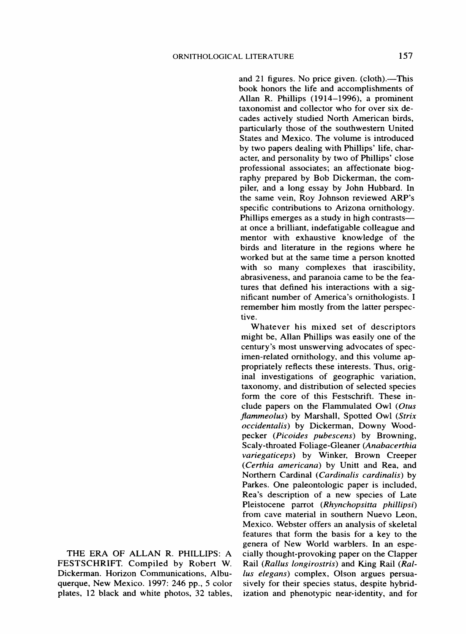and 21 figures. No price given. (cloth). — This book honors the life and accomplishments of Allan R. Phillips (1914–1996), a prominent taxonomist and collector who for over six decades actively studied North American birds, particularly those of the southwestern United States and Mexico. The volume is introduced by two papers dealing with Phillips' life, character, and personality by two of Phillips' close professional associates: an affectionate biography prepared by Bob Dickerman, the compiler, and a long essay by John Hubbard. In the same vein, Roy Johnson reviewed ARP's specific contributions to Arizona ornithology. Phillips emerges as a study in high contrasts at once a brilliant, indefatigable colleague and mentor with exhaustive knowledge of the birds and literature in the regions where he worked but at the same time a person knotted with so many complexes that irascibility, abrasiveness, and paranoia came to be the features that defined his interactions with a significant number of America's ornithologists. I remember him mostly from the latter perspective.

Whatever his mixed set of descriptors might be, Allan Phillips was easily one of the century's most unswerving advocates of specimen-related ornithology, and this volume appropriately reflects these interests. Thus, original investigations of geographic variation, taxonomy, and distribution of selected species form the core of this Festschrift. These include papers on the Flammulated Owl (*Otus flammeolus*) by Marshall, Spotted Owl (*Strix occidentalis*) by Dickerman, Downy Woodpecker (*Picoides pubescens*) by Browning, Scaly-throated Foliage-Gleaner (Anabacerthia *variegaticeps*) by Winker, Brown Creeper (*Certhia americana*) by Unitt and Rea, and Northern Cardinal (*Cardinalis cardinalis*) by Parkes. One paleontologic paper is included, Rea's description of a new species of Late Pleistocene parrot (*Rhynchopsitta phillipsi*) from cave material in southern Nuevo Leon, Mexico. Webster offers an analysis of skeletal features that form the basis for a key to the genera of New World warblers. In an especially thought-provoking paper on the Clapper Rail (*Rallus longirostris*) and King Rail (*Rallus elegans*) complex, Olson argues persuasively for their species status, despite hybridization and phenotypic near-identity, and for

THE ERA OF ALLAN R. PHILLIPS: A FESTSCHRIFT. Compiled by Robert W. Dickerman. Horizon Communications, Albuquerque, New Mexico. 1997: 246 pp., 5 color plates, 12 black and white photos, 32 tables,